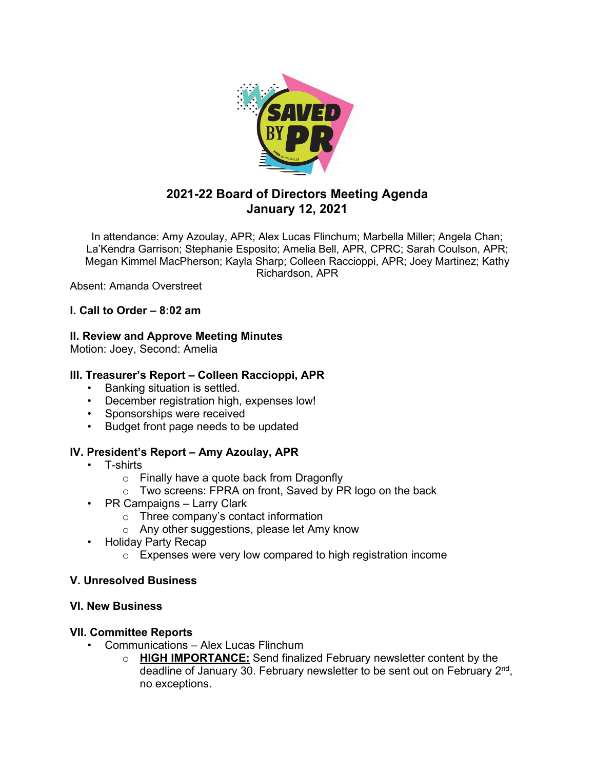

# **2021-22 Board of Directors Meeting Agenda January 12, 2021**

In attendance: Amy Azoulay, APR; Alex Lucas Flinchum; Marbella Miller; Angela Chan; La'Kendra Garrison; Stephanie Esposito; Amelia Bell, APR, CPRC; Sarah Coulson, APR; Megan Kimmel MacPherson; Kayla Sharp; Colleen Raccioppi, APR; Joey Martinez; Kathy Richardson, APR

Absent: Amanda Overstreet

# **I. Call to Order – 8:02 am**

### **II. Review and Approve Meeting Minutes**

Motion: Joey, Second: Amelia

# **III. Treasurer's Report – Colleen Raccioppi, APR**

- Banking situation is settled.
- December registration high, expenses low!
- Sponsorships were received
- Budget front page needs to be updated

### **IV. President's Report – Amy Azoulay, APR**

- T-shirts
	- o Finally have a quote back from Dragonfly
	- o Two screens: FPRA on front, Saved by PR logo on the back
- PR Campaigns Larry Clark
	- o Three company's contact information
	- o Any other suggestions, please let Amy know
- Holiday Party Recap
	- o Expenses were very low compared to high registration income

### **V. Unresolved Business**

#### **VI. New Business**

### **VII. Committee Reports**

- Communications Alex Lucas Flinchum
	- o **HIGH IMPORTANCE:** Send finalized February newsletter content by the deadline of January 30. February newsletter to be sent out on February  $2<sup>nd</sup>$ , no exceptions.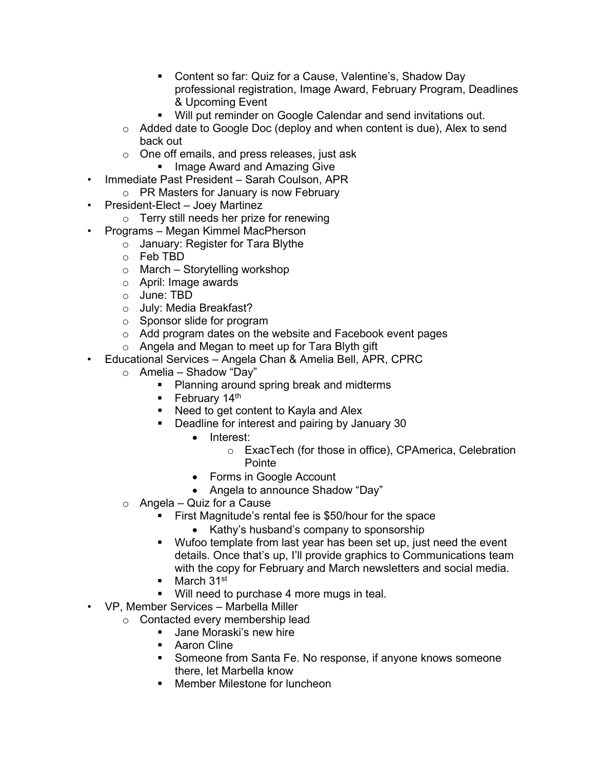- Content so far: Quiz for a Cause, Valentine's, Shadow Day professional registration, Image Award, February Program, Deadlines & Upcoming Event
- Will put reminder on Google Calendar and send invitations out.
- o Added date to Google Doc (deploy and when content is due), Alex to send back out
- o One off emails, and press releases, just ask
	- **Image Award and Amazing Give**
- Immediate Past President Sarah Coulson, APR
	- o PR Masters for January is now February
- President-Elect Joey Martinez
	- o Terry still needs her prize for renewing
- Programs Megan Kimmel MacPherson
	- o January: Register for Tara Blythe
	- o Feb TBD
	- $\circ$  March Storytelling workshop
	- o April: Image awards
	- o June: TBD
	- o July: Media Breakfast?
	- o Sponsor slide for program
	- o Add program dates on the website and Facebook event pages
	- $\circ$  Angela and Megan to meet up for Tara Blyth gift
- Educational Services Angela Chan & Amelia Bell, APR, CPRC
	- $\circ$  Amelia Shadow "Day"
		- **Planning around spring break and midterms**
		- February  $14<sup>th</sup>$
		- Need to get content to Kayla and Alex
		- Deadline for interest and pairing by January 30
			- Interest:
				- o ExacTech (for those in office), CPAmerica, Celebration Pointe
			- Forms in Google Account
			- Angela to announce Shadow "Day"
	- o Angela Quiz for a Cause
		- First Magnitude's rental fee is \$50/hour for the space
			- Kathy's husband's company to sponsorship
		- **Wufoo template from last year has been set up, just need the event** details. Once that's up, I'll provide graphics to Communications team with the copy for February and March newsletters and social media.
		- $March$  31<sup>st</sup>
		- **Will need to purchase 4 more mugs in teal.**
- VP, Member Services Marbella Miller
	- o Contacted every membership lead
		- **Jane Moraski's new hire**
		- **Aaron Cline**
		- Someone from Santa Fe. No response, if anyone knows someone there, let Marbella know
		- **Member Milestone for luncheon**